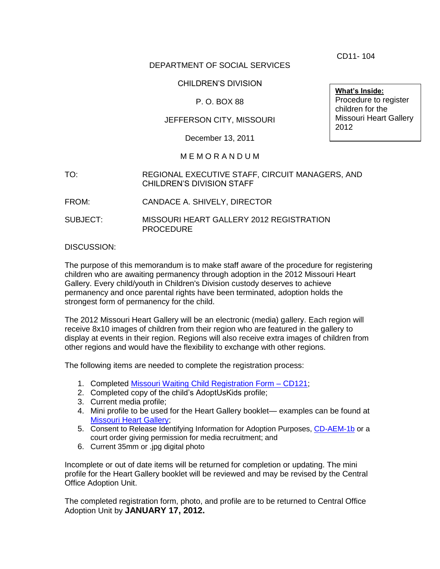DEPARTMENT OF SOCIAL SERVICES

### CHILDREN'S DIVISION

# P. O. BOX 88

# JEFFERSON CITY, MISSOURI

December 13, 2011

### M E M O R A N D U M

- TO: REGIONAL EXECUTIVE STAFF, CIRCUIT MANAGERS, AND CHILDREN'S DIVISION STAFF
- FROM: CANDACE A. SHIVELY, DIRECTOR
- SUBJECT: MISSOURI HEART GALLERY 2012 REGISTRATION PROCEDURE

#### DISCUSSION:

The purpose of this memorandum is to make staff aware of the procedure for registering children who are awaiting permanency through adoption in the 2012 Missouri Heart Gallery. Every child/youth in Children's Division custody deserves to achieve permanency and once parental rights have been terminated, adoption holds the strongest form of permanency for the child.

The 2012 Missouri Heart Gallery will be an electronic (media) gallery. Each region will receive 8x10 images of children from their region who are featured in the gallery to display at events in their region. Regions will also receive extra images of children from other regions and would have the flexibility to exchange with other regions.

The following items are needed to complete the registration process:

- 1. Completed [Missouri Waiting Child Registration Form –](http://www.dss.mo.gov/cd/info/forms/index.htm) CD121;
- 2. Completed copy of the child's AdoptUsKids profile;
- 3. Current media profile;
- 4. Mini profile to be used for the Heart Gallery booklet— examples can be found at [Missouri Heart Gallery;](http://www.moheartgallery.org/Albumn/index1.htm)
- 5. Consent to Release Identifying Information for Adoption Purposes, [CD-AEM-1b](http://dss.mo.gov/cd/info/forms/index.htm) or a court order giving permission for media recruitment; and
- 6. Current 35mm or .jpg digital photo

Incomplete or out of date items will be returned for completion or updating. The mini profile for the Heart Gallery booklet will be reviewed and may be revised by the Central Office Adoption Unit.

The completed registration form, photo, and profile are to be returned to Central Office Adoption Unit by **JANUARY 17, 2012.**

CD11- 104

**What's Inside:** Procedure to register children for the Missouri Heart Gallery 2012